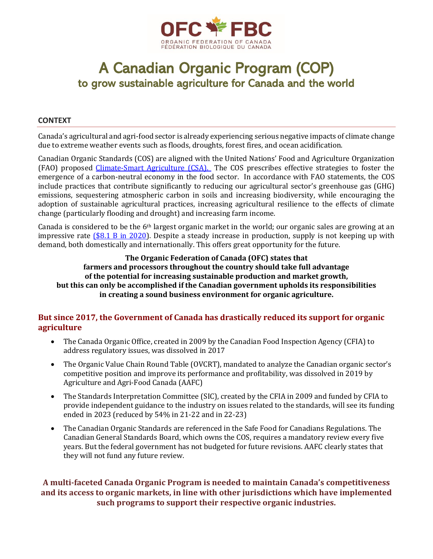

# A Canadian Organic Program (COP) to grow sustainable agriculture for Canada and the world

#### **CONTEXT**

Canada's agricultural and agri-food sector is already experiencing serious negative impacts of climate change due to extreme weather events such as floods, droughts, forest fires, and ocean acidification.

Canadian Organic Standards (COS) are aligned with the United Nations' Food and Agriculture Organization (FAO) proposed [Climate-Smart Agriculture \(CSA\).](http://www.fao.org/climate-smart-agriculture/en/) The COS prescribes effective strategies to foster the emergence of a carbon-neutral economy in the food sector. In accordance with FAO statements, the COS include practices that contribute significantly to reducing our agricultural sector's greenhouse gas (GHG) emissions, sequestering atmospheric carbon in soils and increasing biodiversity, while encouraging the adoption of sustainable agricultural practices, increasing agricultural resilience to the effects of climate change (particularly flooding and drought) and increasing farm income.

Canada is considered to be the 6th largest organic market in the world; our organic sales are growing at an impressive rate (\$8.1 [B in 2020\)](http://www.canada-organic.ca/sites/default/files/2020-2021_organic_quick_facts.pdf). Despite a steady increase in production, supply is not keeping up with demand, both domestically and internationally. This offers great opportunity for the future.

**The Organic Federation of Canada (OFC) states that farmers and processors throughout the country should take full advantage of the potential for increasing sustainable production and market growth, but this can only be accomplished if the Canadian government upholds its responsibilities in creating a sound business environment for organic agriculture.**

#### **But since 2017, the Government of Canada has drastically reduced its support for organic agriculture**

- The Canada Organic Office, created in 2009 by the Canadian Food Inspection Agency (CFIA) to address regulatory issues, was dissolved in 2017
- The Organic Value Chain Round Table (OVCRT), mandated to analyze the Canadian organic sector's competitive position and improve its performance and profitability, was dissolved in 2019 by Agriculture and Agri-Food Canada (AAFC)
- The Standards Interpretation Committee (SIC), created by the CFIA in 2009 and funded by CFIA to provide independent guidance to the industry on issues related to the standards, will see its funding ended in 2023 (reduced by 54% in 21-22 and in 22-23)
- The Canadian Organic Standards are referenced in the Safe Food for Canadians Regulations. The Canadian General Standards Board, which owns the COS, requires a mandatory review every five years. But the federal government has not budgeted for future revisions. AAFC clearly states that they will not fund any future review.

#### **A multi-faceted Canada Organic Program is needed to maintain Canada's competitiveness and its access to organic markets, in line with other jurisdictions which have implemented such programs to support their respective organic industries.**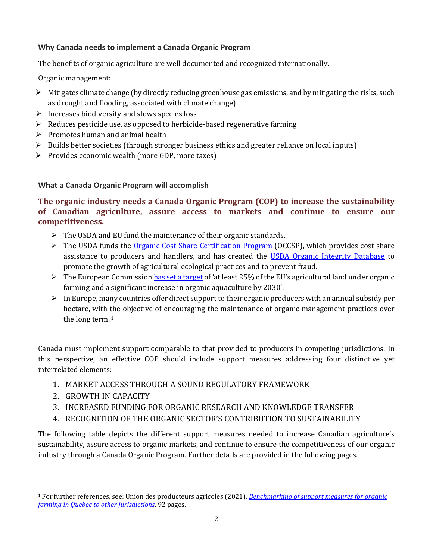#### **Why Canada needs to implement a Canada Organic Program**

The benefits of organic agriculture are well documented and recognized internationally.

Organic management:

- $\triangleright$  Mitigates climate change (by directly reducing greenhouse gas emissions, and by mitigating the risks, such as drought and flooding, associated with climate change)
- $\triangleright$  Increases biodiversity and slows species loss
- ➢ Reduces pesticide use, as opposed to herbicide-based regenerative farming
- $\triangleright$  Promotes human and animal health
- $\triangleright$  Builds better societies (through stronger business ethics and greater reliance on local inputs)
- ➢ Provides economic wealth (more GDP, more taxes)

#### **What a Canada Organic Program will accomplish**

**The organic industry needs a Canada Organic Program (COP) to increase the sustainability of Canadian agriculture, assure access to markets and continue to ensure our competitiveness.**

- $\triangleright$  The USDA and EU fund the maintenance of their organic standards.
- $\triangleright$  The USDA funds the [Organic Cost Share Certification Program](https://www.fsa.usda.gov/programs-and-services/occsp/index) (OCCSP), which provides cost share assistance to producers and handlers, and has created the [USDA Organic Integrity](https://organic.ams.usda.gov/integrity/) Database to promote the growth of agricultural ecological practices and to prevent fraud.
- $\triangleright$  The European Commissio[n has set a target](https://ec.europa.eu/commission/presscorner/detail/en/qanda_21_1277) of 'at least 25% of the EU's agricultural land under organic farming and a significant increase in organic aquaculture by 2030'.
- $\triangleright$  In Europe, many countries offer direct support to their organic producers with an annual subsidy per hectare, with the objective of encouraging the maintenance of organic management practices over the long term. 1

Canada must implement support comparable to that provided to producers in competing jurisdictions. In this perspective, an effective COP should include support measures addressing four distinctive yet interrelated elements:

- 1. MARKET ACCESS THROUGH A SOUND REGULATORY FRAMEWORK
- 2. GROWTH IN CAPACITY
- 3. INCREASED FUNDING FOR ORGANIC RESEARCH AND KNOWLEDGE TRANSFER
- 4. RECOGNITION OF THE ORGANIC SECTOR'S CONTRIBUTION TO SUSTAINABILITY

The following table depicts the different support measures needed to increase Canadian agriculture's sustainability, assure access to organic markets, and continue to ensure the competitiveness of our organic industry through a Canada Organic Program. Further details are provided in the following pages.

<sup>1</sup> For further references, see: Union des producteurs agricoles (2021). *[Benchmarking of support measures for organic](https://www.upa.qc.ca/wp-content/uploads/filebase/Benchmarking_support_measures_organic_farming_Quebec_to_other_jurisdictions_2021-04.pdf)  [farming in Quebec to other jurisdictions,](https://www.upa.qc.ca/wp-content/uploads/filebase/Benchmarking_support_measures_organic_farming_Quebec_to_other_jurisdictions_2021-04.pdf)* 92 pages.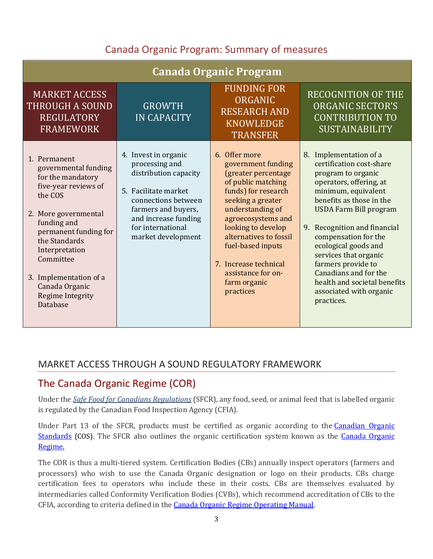## Canada Organic Program: Summary of measures

| <b>Canada Organic Program</b>                                                                                                                                                                                                                                                            |                                                                                                                                                                                                          |                                                                                                                                                                                                                                                                                                                         |                                                                                                                                                                                                                                                                                                                                                                                                                             |  |
|------------------------------------------------------------------------------------------------------------------------------------------------------------------------------------------------------------------------------------------------------------------------------------------|----------------------------------------------------------------------------------------------------------------------------------------------------------------------------------------------------------|-------------------------------------------------------------------------------------------------------------------------------------------------------------------------------------------------------------------------------------------------------------------------------------------------------------------------|-----------------------------------------------------------------------------------------------------------------------------------------------------------------------------------------------------------------------------------------------------------------------------------------------------------------------------------------------------------------------------------------------------------------------------|--|
| <b>MARKET ACCESS</b><br><b>THROUGH A SOUND</b><br><b>REGULATORY</b><br><b>FRAMEWORK</b>                                                                                                                                                                                                  | <b>GROWTH</b><br><b>IN CAPACITY</b>                                                                                                                                                                      | <b>FUNDING FOR</b><br>ORGANIC<br><b>RESEARCH AND</b><br><b>KNOWLEDGE</b><br><b>TRANSFER</b>                                                                                                                                                                                                                             | <b>RECOGNITION OF THE</b><br><b>ORGANIC SECTOR'S</b><br><b>CONTRIBUTION TO</b><br><b>SUSTAINABILITY</b>                                                                                                                                                                                                                                                                                                                     |  |
| 1. Permanent<br>governmental funding<br>for the mandatory<br>five-year reviews of<br>the COS<br>2. More governmental<br>funding and<br>permanent funding for<br>the Standards<br>Interpretation<br>Committee<br>3. Implementation of a<br>Canada Organic<br>Regime Integrity<br>Database | 4. Invest in organic<br>processing and<br>distribution capacity<br>5. Facilitate market<br>connections between<br>farmers and buyers,<br>and increase funding<br>for international<br>market development | 6. Offer more<br>government funding<br>(greater percentage<br>of public matching<br>funds) for research<br>seeking a greater<br>understanding of<br>agroecosystems and<br>looking to develop<br>alternatives to fossil<br>fuel-based inputs<br>7. Increase technical<br>assistance for on-<br>farm organic<br>practices | 8. Implementation of a<br>certification cost-share<br>program to organic<br>operators, offering, at<br>minimum, equivalent<br>benefits as those in the<br><b>USDA Farm Bill program</b><br>Recognition and financial<br>9.<br>compensation for the<br>ecological goods and<br>services that organic<br>farmers provide to<br>Canadians and for the<br>health and societal benefits<br>associated with organic<br>practices. |  |

### MARKET ACCESS THROUGH A SOUND REGULATORY FRAMEWORK

### The Canada Organic Regime (COR)

Under the *[Safe Food for Canadians Regulations](https://inspection.canada.ca/english/reg/jredirect2.shtml?sfcrrsac)* (SFCR), any food, seed, or animal feed that is labelled organic is regulated by the Canadian Food Inspection Agency (CFIA).

Under Part 13 of the SFCR, products must be certified as organic according to the Canadian Organic [Standards](https://publications.gc.ca/collections/collection_2020/ongc-cgsb/P29-32-310-2020-eng.pdf) (COS). The SFCR also outlines the organic certification system known as the Canada Organic [Regime.](https://inspection.canada.ca/organic-products/operating-manual/eng/1389199079075/1554143470958?chap=2)

The COR is thus a multi-tiered system. Certification Bodies (CBs) annually inspect operators (farmers and processors) who wish to use the Canada Organic designation or logo on their products. CBs charge certification fees to operators who include these in their costs. CBs are themselves evaluated by intermediaries called Conformity Verification Bodies (CVBs), which recommend accreditation of CBs to the CFIA, according to criteria defined in th[e Canada Organic Regime Operating Manual.](https://inspection.canada.ca/organic-products/operating-manual/eng/1389199079075/1554143470958)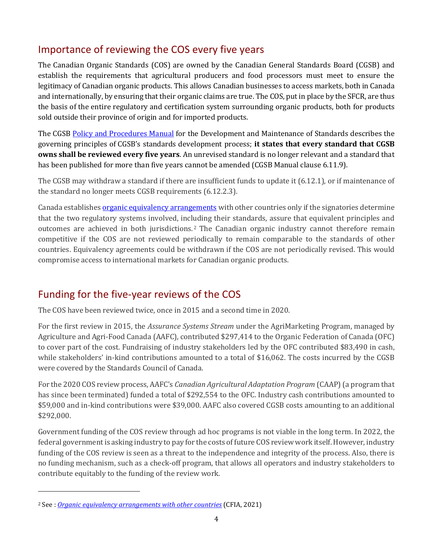# Importance of reviewing the COS every five years

The Canadian Organic Standards (COS) are owned by the Canadian General Standards Board (CGSB) and establish the requirements that agricultural producers and food processors must meet to ensure the legitimacy of Canadian organic products. This allows Canadian businesses to access markets, both in Canada and internationally, by ensuring that their organic claims are true. The COS, put in place by the SFCR, are thus the basis of the entire regulatory and certification system surrounding organic products, both for products sold outside their province of origin and for imported products.

The CGSB [Policy and Procedures Manual](https://www.tpsgc-pwgsc.gc.ca/ongc-cgsb/programme-program/normes-standards/politiques-policy-proc-eng.html) for the Development and Maintenance of Standards describes the governing principles of CGSB's standards development process; **it states that every standard that CGSB owns shall be reviewed every five years**. An unrevised standard is no longer relevant and a standard that has been published for more than five years cannot be amended (CGSB Manual clause 6.11.9).

The CGSB may withdraw a standard if there are insufficient funds to update it (6.12.1), or if maintenance of the standard no longer meets CGSB requirements (6.12.2.3).

Canada establishes [organic equivalency arrangements](https://inspection.canada.ca/organic-products/equivalence-arrangements/eng/1311987562418/1311987760268) with other countries only if the signatories determine that the two regulatory systems involved, including their standards, assure that equivalent principles and outcomes are achieved in both jurisdictions. <sup>2</sup> The Canadian organic industry cannot therefore remain competitive if the COS are not reviewed periodically to remain comparable to the standards of other countries. Equivalency agreements could be withdrawn if the COS are not periodically revised. This would compromise access to international markets for Canadian organic products.

# Funding for the five-year reviews of the COS

The COS have been reviewed twice, once in 2015 and a second time in 2020.

For the first review in 2015, the *Assurance Systems Stream* under the AgriMarketing Program, managed by Agriculture and Agri-Food Canada (AAFC), contributed \$297,414 to the Organic Federation of Canada (OFC) to cover part of the cost. Fundraising of industry stakeholders led by the OFC contributed \$83,490 in cash, while stakeholders' in-kind contributions amounted to a total of \$16,062. The costs incurred by the CGSB were covered by the Standards Council of Canada.

For the 2020 COS review process, AAFC's *Canadian Agricultural Adaptation Program* (CAAP)(a program that has since been terminated) funded a total of \$292,554 to the OFC. Industry cash contributions amounted to \$59,000 and in-kind contributions were \$39,000. AAFC also covered CGSB costs amounting to an additional \$292,000.

Government funding of the COS review through ad hoc programs is not viable in the long term. In 2022, the federal government is asking industry to pay for the costs of future COS review work itself. However, industry funding of the COS review is seen as a threat to the independence and integrity of the process. Also, there is no funding mechanism, such as a check-off program, that allows all operators and industry stakeholders to contribute equitably to the funding of the review work.

<sup>2</sup> See : *[Organic equivalency arrangements with other countries](https://inspection.canada.ca/organic-products/equivalence-arrangements/eng/1311987562418/1311987760268)* (CFIA, 2021)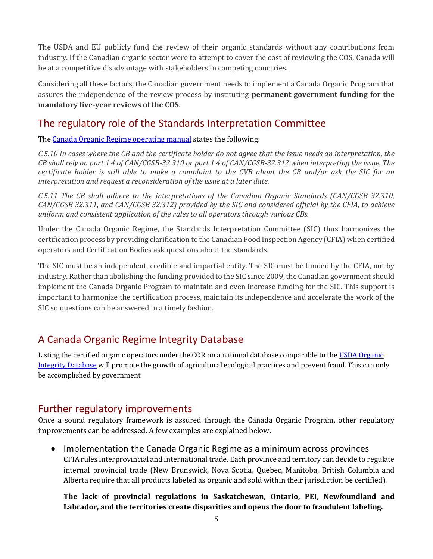The USDA and EU publicly fund the review of their organic standards without any contributions from industry. If the Canadian organic sector were to attempt to cover the cost of reviewing the COS, Canada will be at a competitive disadvantage with stakeholders in competing countries.

Considering all these factors, the Canadian government needs to implement a Canada Organic Program that assures the independence of the review process by instituting **permanent government funding for the mandatory five-year reviews of the COS**.

### The regulatory role of the Standards Interpretation Committee

The [Canada Organic Regime operating manual](https://inspection.canada.ca/organic-products/operating-manual/eng/1389199079075/1554143470958?chap=5#s34c5) states the following:

*C.5.10 In cases where the CB and the certificate holder do not agree that the issue needs an interpretation, the CB shall rely on part 1.4 of CAN/CGSB-32.310 or part 1.4 of CAN/CGSB-32.312 when interpreting the issue. The certificate holder is still able to make a complaint to the CVB about the CB and/or ask the SIC for an interpretation and request a reconsideration of the issue at a later date.*

*C.5.11 The CB shall adhere to the interpretations of the Canadian Organic Standards (CAN/CGSB 32.310, CAN/CGSB 32.311, and CAN/CGSB 32.312) provided by the SIC and considered official by the CFIA, to achieve uniform and consistent application of the rules to all operators through various CBs.*

Under the Canada Organic Regime, the Standards Interpretation Committee (SIC) thus harmonizes the certification process by providing clarification to the Canadian Food Inspection Agency (CFIA) when certified operators and Certification Bodies ask questions about the standards.

The SIC must be an independent, credible and impartial entity. The SIC must be funded by the CFIA, not by industry. Rather than abolishing the funding provided to the SIC since 2009, the Canadian government should implement the Canada Organic Program to maintain and even increase funding for the SIC. This support is important to harmonize the certification process, maintain its independence and accelerate the work of the SIC so questions can be answered in a timely fashion.

# A Canada Organic Regime Integrity Database

Listing the certified organic operators under the COR on a national database comparable to the [USDA Organic](https://organic.ams.usda.gov/integrity/)  [Integrity Database](https://organic.ams.usda.gov/integrity/) will promote the growth of agricultural ecological practices and prevent fraud. This can only be accomplished by government.

### Further regulatory improvements

Once a sound regulatory framework is assured through the Canada Organic Program, other regulatory improvements can be addressed. A few examples are explained below.

• Implementation the Canada Organic Regime as a minimum across provinces CFIA rules interprovincial and international trade. Each province and territory can decide to regulate internal provincial trade (New Brunswick, Nova Scotia, Quebec, Manitoba, British Columbia and Alberta require that all products labeled as organic and sold within their jurisdiction be certified).

#### **The lack of provincial regulations in Saskatchewan, Ontario, PEI, Newfoundland and Labrador, and the territories create disparities and opens the door to fraudulent labeling.**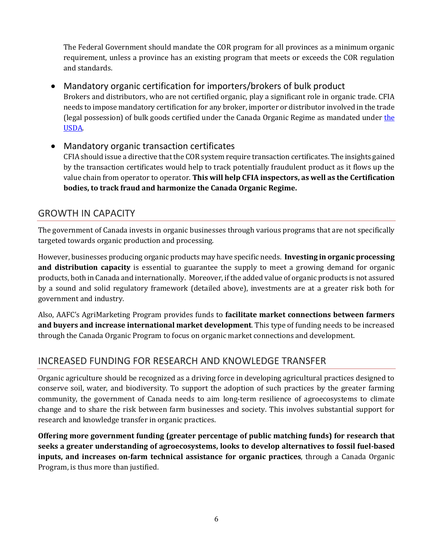The Federal Government should mandate the COR program for all provinces as a minimum organic requirement, unless a province has an existing program that meets or exceeds the COR regulation and standards.

• Mandatory organic certification for importers/brokers of bulk product

Brokers and distributors, who are not certified organic, play a significant role in organic trade. CFIA needs to impose mandatory certification for any broker, importer or distributor involved in the trade (legal possession) of bulk goods certified under [the](https://www.ams.usda.gov/services/organic-certification/need-be-certified) Canada Organic Regime as mandated under the [USDA.](https://www.ams.usda.gov/services/organic-certification/need-be-certified)

• Mandatory organic transaction certificates CFIA should issue a directive that the COR system require transaction certificates. The insights gained by the transaction certificates would help to track potentially fraudulent product as it flows up the value chain from operator to operator. **This will help CFIA inspectors, as well as the Certification bodies, to track fraud and harmonize the Canada Organic Regime.**

#### GROWTH IN CAPACITY

The government of Canada invests in organic businesses through various programs that are not specifically targeted towards organic production and processing.

However, businesses producing organic products may have specific needs. **Investing in organic processing and distribution capacity** is essential to guarantee the supply to meet a growing demand for organic products, both in Canada and internationally. Moreover, if the added value of organic products is not assured by a sound and solid regulatory framework (detailed above), investments are at a greater risk both for government and industry.

Also, AAFC's AgriMarketing Program provides funds to **facilitate market connections between farmers and buyers and increase international market development**. This type of funding needs to be increased through the Canada Organic Program to focus on organic market connections and development.

### INCREASED FUNDING FOR RESEARCH AND KNOWLEDGE TRANSFER

Organic agriculture should be recognized as a driving force in developing agricultural practices designed to conserve soil, water, and biodiversity. To support the adoption of such practices by the greater farming community, the government of Canada needs to aim long-term resilience of agroecosystems to climate change and to share the risk between farm businesses and society. This involves substantial support for research and knowledge transfer in organic practices.

**Offering more government funding (greater percentage of public matching funds) for research that seeks a greater understanding of agroecosystems, looks to develop alternatives to fossil fuel-based inputs, and increases on-farm technical assistance for organic practices**, through a Canada Organic Program, is thus more than justified.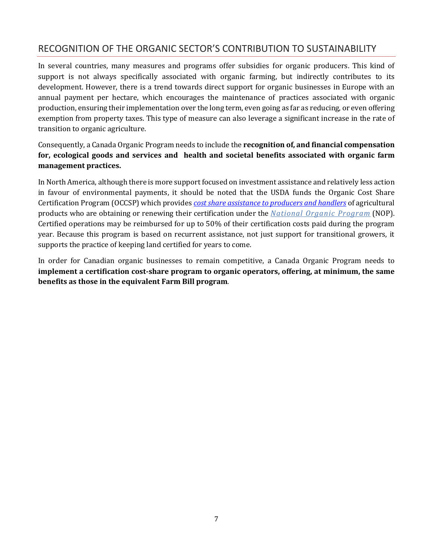### RECOGNITION OF THE ORGANIC SECTOR'S CONTRIBUTION TO SUSTAINABILITY

In several countries, many measures and programs offer subsidies for organic producers. This kind of support is not always specifically associated with organic farming, but indirectly contributes to its development. However, there is a trend towards direct support for organic businesses in Europe with an annual payment per hectare, which encourages the maintenance of practices associated with organic production, ensuring their implementation over the long term, even going as far as reducing, or even offering exemption from property taxes. This type of measure can also leverage a significant increase in the rate of transition to organic agriculture.

Consequently, a Canada Organic Program needs to include the **recognition of, and financial compensation for, ecological goods and services and health and societal benefits associated with organic farm management practices.**

In North America, although there is more support focused on investment assistance and relatively less action in favour of environmental payments, it should be noted that the USDA funds the Organic Cost Share Certification Program (OCCSP) which provides *[cost share assistance to producers and handlers](https://www.fsa.usda.gov/programs-and-services/occsp/index)* of agricultural products who are obtaining or renewing their certification under the *[National Organic Program](https://www.ams.usda.gov/about-ams/programs-offices/national-organic-program)* (NOP). Certified operations may be reimbursed for up to 50% of their certification costs paid during the program year. Because this program is based on recurrent assistance, not just support for transitional growers, it supports the practice of keeping land certified for years to come.

In order for Canadian organic businesses to remain competitive, a Canada Organic Program needs to **implement a certification cost-share program to organic operators, offering, at minimum, the same benefits as those in the equivalent Farm Bill program**.